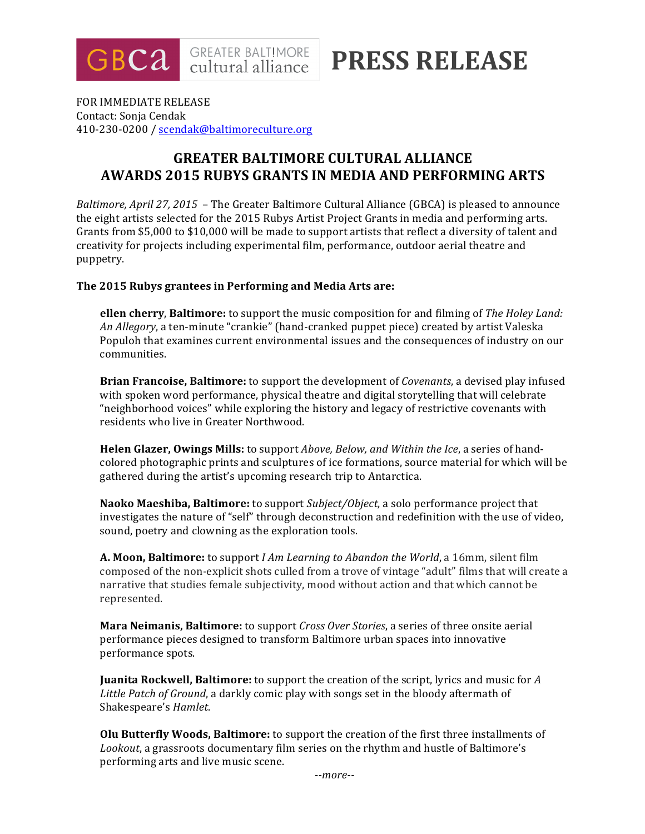

**PRESS RELEASE**

FOR IMMEDIATE RELEASE Contact: Sonja Cendak 410-230-0200 / scendak@baltimoreculture.org

# **GREATER BALTIMORE CULTURAL ALLIANCE AWARDS 2015 RUBYS GRANTS IN MEDIA AND PERFORMING ARTS**

*Baltimore, April 27, 2015* – The Greater Baltimore Cultural Alliance (GBCA) is pleased to announce the eight artists selected for the 2015 Rubys Artist Project Grants in media and performing arts. Grants from \$5,000 to \$10,000 will be made to support artists that reflect a diversity of talent and creativity for projects including experimental film, performance, outdoor aerial theatre and puppetry.

#### **The 2015 Rubys grantees in Performing and Media Arts are:**

**ellen cherry, Baltimore:** to support the music composition for and filming of *The Holey Land: An Allegory*, a ten-minute "crankie" (hand-cranked puppet piece) created by artist Valeska Populoh that examines current environmental issues and the consequences of industry on our communities.

**Brian Francoise, Baltimore:** to support the development of *Covenants*, a devised play infused with spoken word performance, physical theatre and digital storytelling that will celebrate "neighborhood voices" while exploring the history and legacy of restrictive covenants with residents who live in Greater Northwood.

**Helen Glazer, Owings Mills:** to support *Above, Below, and Within the Ice*, a series of handcolored photographic prints and sculptures of ice formations, source material for which will be gathered during the artist's upcoming research trip to Antarctica.

**Naoko Maeshiba, Baltimore:** to support *Subject/Object*, a solo performance project that investigates the nature of "self" through deconstruction and redefinition with the use of video, sound, poetry and clowning as the exploration tools.

**A. Moon, Baltimore:** to support *I Am Learning to Abandon the World*, a 16mm, silent film composed of the non-explicit shots culled from a trove of vintage "adult" films that will create a narrative that studies female subjectivity, mood without action and that which cannot be represented.

**Mara Neimanis, Baltimore:** to support *Cross Over Stories*, a series of three onsite aerial performance pieces designed to transform Baltimore urban spaces into innovative performance spots.

**Juanita Rockwell, Baltimore:** to support the creation of the script, lyrics and music for A Little Patch of Ground, a darkly comic play with songs set in the bloody aftermath of Shakespeare's *Hamlet*.

**Olu Butterfly Woods, Baltimore:** to support the creation of the first three installments of *Lookout*, a grassroots documentary film series on the rhythm and hustle of Baltimore's performing arts and live music scene.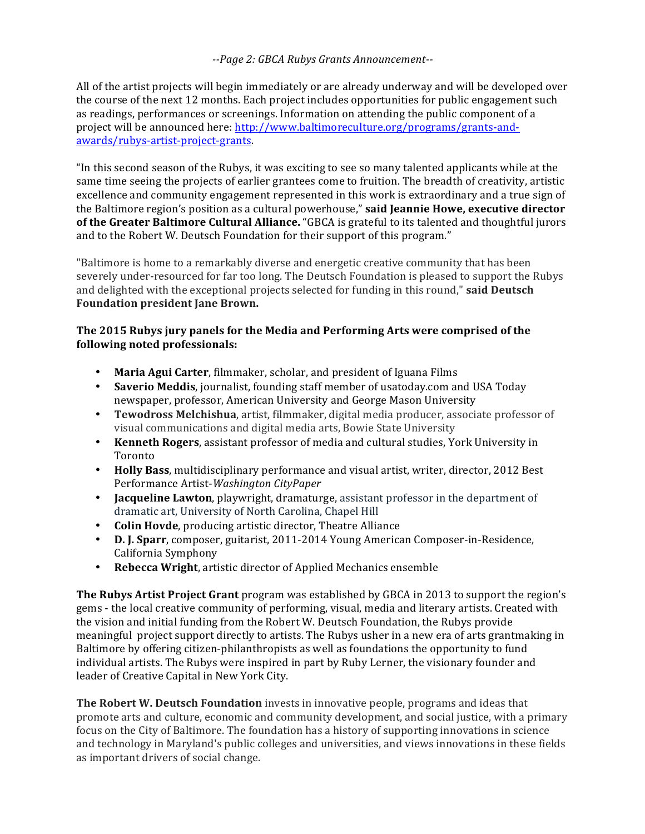### *--Page 2: GBCA Rubys Grants Announcement--*

All of the artist projects will begin immediately or are already underway and will be developed over the course of the next 12 months. Each project includes opportunities for public engagement such as readings, performances or screenings. Information on attending the public component of a project will be announced here: http://www.baltimoreculture.org/programs/grants-andawards/rubys-artist-project-grants. 

"In this second season of the Rubys, it was exciting to see so many talented applicants while at the same time seeing the projects of earlier grantees come to fruition. The breadth of creativity, artistic excellence and community engagement represented in this work is extraordinary and a true sign of the Baltimore region's position as a cultural powerhouse," **said Jeannie Howe, executive director** of the Greater Baltimore Cultural Alliance. "GBCA is grateful to its talented and thoughtful jurors and to the Robert W. Deutsch Foundation for their support of this program."

"Baltimore is home to a remarkably diverse and energetic creative community that has been severely under-resourced for far too long. The Deutsch Foundation is pleased to support the Rubys and delighted with the exceptional projects selected for funding in this round," said Deutsch **Foundation president Jane Brown.** 

### **The 2015 Rubys jury panels for the Media and Performing Arts were comprised of the following noted professionals:**

- Maria Agui Carter, filmmaker, scholar, and president of Iguana Films
- Saverio Meddis, journalist, founding staff member of usatoday.com and USA Today newspaper, professor, American University and George Mason University
- **Tewodross Melchishua**, artist, filmmaker, digital media producer, associate professor of visual communications and digital media arts, Bowie State University
- **Kenneth Rogers**, assistant professor of media and cultural studies, York University in Toronto
- Holly Bass, multidisciplinary performance and visual artist, writer, director, 2012 Best Performance Artist-*Washington CityPaper*
- **Jacqueline Lawton**, playwright, dramaturge, assistant professor in the department of dramatic art, University of North Carolina, Chapel Hill
- **Colin Hovde**, producing artistic director, Theatre Alliance
- **D. J. Sparr**, composer, guitarist, 2011-2014 Young American Composer-in-Residence, California Symphony
- **Rebecca Wright**, artistic director of Applied Mechanics ensemble

**The Rubys Artist Project Grant** program was established by GBCA in 2013 to support the region's gems - the local creative community of performing, visual, media and literary artists. Created with the vision and initial funding from the Robert W. Deutsch Foundation, the Rubys provide meaningful project support directly to artists. The Rubys usher in a new era of arts grantmaking in Baltimore by offering citizen-philanthropists as well as foundations the opportunity to fund individual artists. The Rubys were inspired in part by Ruby Lerner, the visionary founder and leader of Creative Capital in New York City.

**The Robert W. Deutsch Foundation** invests in innovative people, programs and ideas that promote arts and culture, economic and community development, and social justice, with a primary focus on the City of Baltimore. The foundation has a history of supporting innovations in science and technology in Maryland's public colleges and universities, and views innovations in these fields as important drivers of social change.